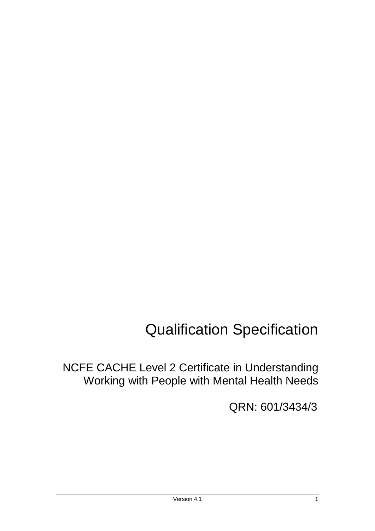# Qualification Specification

NCFE CACHE Level 2 Certificate in Understanding Working with People with Mental Health Needs

QRN: 601/3434/3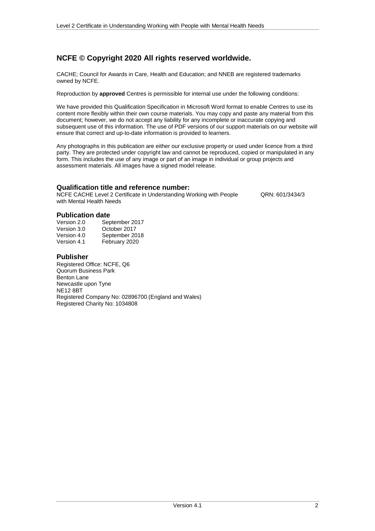### **NCFE © Copyright 2020 All rights reserved worldwide.**

CACHE; Council for Awards in Care, Health and Education; and NNEB are registered trademarks owned by NCFE.

Reproduction by **approved** Centres is permissible for internal use under the following conditions:

We have provided this Qualification Specification in Microsoft Word format to enable Centres to use its content more flexibly within their own course materials. You may copy and paste any material from this document; however, we do not accept any liability for any incomplete or inaccurate copying and subsequent use of this information. The use of PDF versions of our support materials on our website will ensure that correct and up-to-date information is provided to learners.

Any photographs in this publication are either our exclusive property or used under licence from a third party. They are protected under copyright law and cannot be reproduced, copied or manipulated in any form. This includes the use of any image or part of an image in individual or group projects and assessment materials. All images have a signed model release.

#### **Qualification title and reference number:**

NCFE CACHE Level 2 Certificate in Understanding Working with People QRN: 601/3434/3 with Mental Health Needs

#### **Publication date**

| September 2017 |
|----------------|
| October 2017   |
| September 2018 |
| February 2020  |
|                |

#### **Publisher**

Registered Office: NCFE, Q6 Quorum Business Park Benton Lane Newcastle upon Tyne NE12 8BT Registered Company No: 02896700 (England and Wales) Registered Charity No: 1034808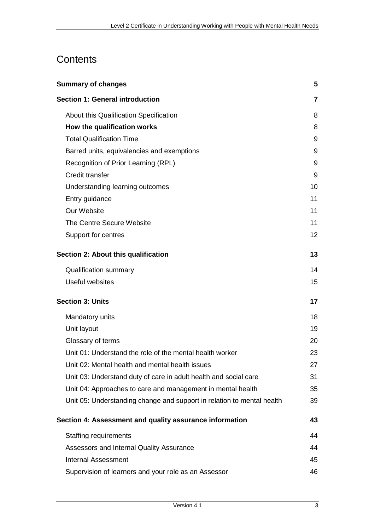# **Contents**

| <b>Summary of changes</b>                                              | 5                 |
|------------------------------------------------------------------------|-------------------|
| <b>Section 1: General introduction</b>                                 | 7                 |
| About this Qualification Specification                                 | 8                 |
| How the qualification works                                            | 8                 |
| <b>Total Qualification Time</b>                                        | 9                 |
| Barred units, equivalencies and exemptions                             | 9                 |
| Recognition of Prior Learning (RPL)                                    | 9                 |
| Credit transfer                                                        | 9                 |
| Understanding learning outcomes                                        | 10                |
| Entry guidance                                                         | 11                |
| Our Website                                                            | 11                |
| The Centre Secure Website                                              | 11                |
| Support for centres                                                    | $12 \overline{ }$ |
| Section 2: About this qualification                                    | 13                |
| <b>Qualification summary</b>                                           | 14                |
| <b>Useful websites</b>                                                 | 15                |
| <b>Section 3: Units</b>                                                | 17                |
| Mandatory units                                                        | 18                |
| Unit layout                                                            | 19                |
| Glossary of terms                                                      | 20                |
| Unit 01: Understand the role of the mental health worker               | 23                |
| Unit 02: Mental health and mental health issues                        | 27                |
| Unit 03: Understand duty of care in adult health and social care       | 31                |
| Unit 04: Approaches to care and management in mental health            | 35                |
| Unit 05: Understanding change and support in relation to mental health | 39                |
| Section 4: Assessment and quality assurance information                | 43                |
| <b>Staffing requirements</b>                                           | 44                |
| Assessors and Internal Quality Assurance                               | 44                |
| <b>Internal Assessment</b>                                             | 45                |
| Supervision of learners and your role as an Assessor                   | 46                |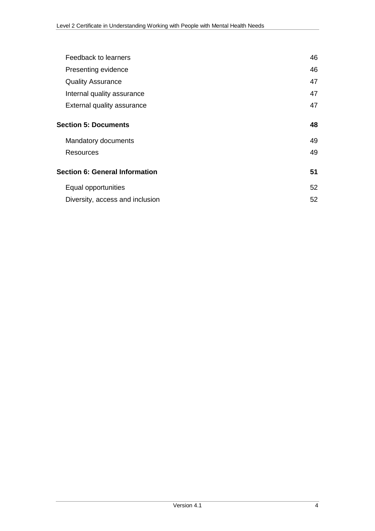| Feedback to learners                  | 46 |
|---------------------------------------|----|
| Presenting evidence                   | 46 |
| <b>Quality Assurance</b>              | 47 |
| Internal quality assurance            | 47 |
| External quality assurance            | 47 |
| <b>Section 5: Documents</b>           | 48 |
| Mandatory documents                   | 49 |
| Resources                             | 49 |
| <b>Section 6: General Information</b> | 51 |
| Equal opportunities                   | 52 |
| Diversity, access and inclusion       | 52 |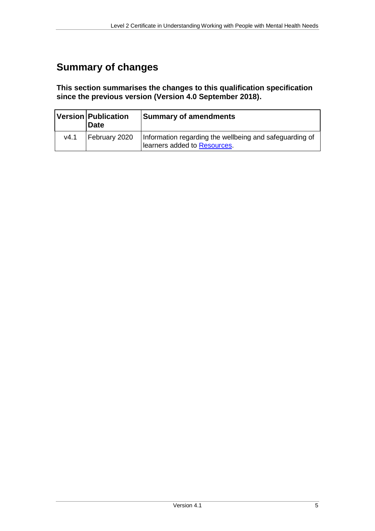# <span id="page-4-0"></span>**Summary of changes**

**This section summarises the changes to this qualification specification since the previous version (Version 4.0 September 2018).**

|      | Version Publication<br><b>Date</b> | <b>Summary of amendments</b>                                                            |  |
|------|------------------------------------|-----------------------------------------------------------------------------------------|--|
| v4.1 | February 2020                      | Information regarding the wellbeing and safeguarding of<br>learners added to Resources. |  |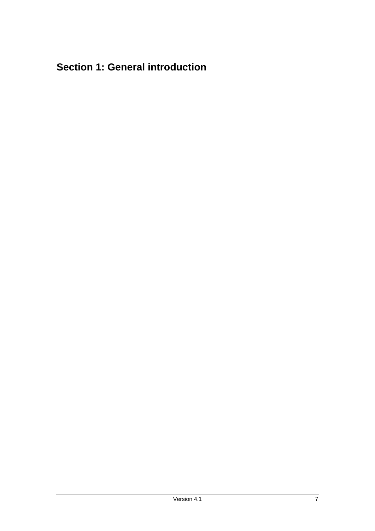# <span id="page-6-0"></span>**Section 1: General introduction**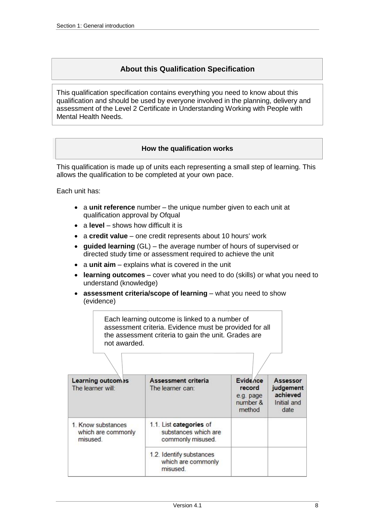### **About this Qualification Specification**

<span id="page-7-0"></span>This qualification specification contains everything you need to know about this qualification and should be used by everyone involved in the planning, delivery and assessment of the Level 2 Certificate in Understanding Working with People with Mental Health Needs.

#### **How the qualification works**

<span id="page-7-1"></span>This qualification is made up of units each representing a small step of learning. This allows the qualification to be completed at your own pace.

Each unit has:

- a **unit reference** number the unique number given to each unit at qualification approval by Ofqual
- a **level** shows how difficult it is
- a **credit value** one credit represents about 10 hours' work
- **guided learning** (GL) the average number of hours of supervised or directed study time or assessment required to achieve the unit
- a unit aim explains what is covered in the unit
- **learning outcomes** cover what you need to do (skills) or what you need to understand (knowledge)
- **assessment criteria/scope of learning** what you need to show (evidence)

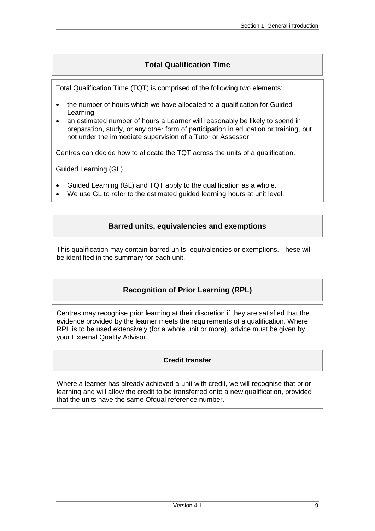### **Total Qualification Time**

<span id="page-8-0"></span>Total Qualification Time (TQT) is comprised of the following two elements:

- the number of hours which we have allocated to a qualification for Guided Learning
- an estimated number of hours a Learner will reasonably be likely to spend in preparation, study, or any other form of participation in education or training, but not under the immediate supervision of a Tutor or Assessor.

Centres can decide how to allocate the TQT across the units of a qualification.

Guided Learning (GL)

- Guided Learning (GL) and TQT apply to the qualification as a whole.
- <span id="page-8-1"></span>We use GL to refer to the estimated guided learning hours at unit level.

### **Barred units, equivalencies and exemptions**

<span id="page-8-2"></span>This qualification may contain barred units, equivalencies or exemptions. These will be identified in the summary for each unit.

### **Recognition of Prior Learning (RPL)**

Centres may recognise prior learning at their discretion if they are satisfied that the evidence provided by the learner meets the requirements of a qualification. Where RPL is to be used extensively (for a whole unit or more), advice must be given by your External Quality Advisor.

### **Credit transfer**

<span id="page-8-3"></span>Where a learner has already achieved a unit with credit, we will recognise that prior learning and will allow the credit to be transferred onto a new qualification, provided that the units have the same Ofqual reference number.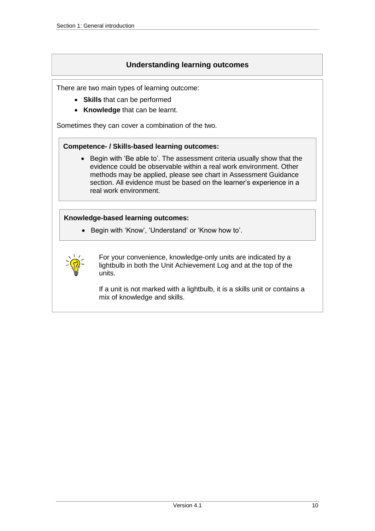### **Understanding learning outcomes**

<span id="page-9-0"></span>There are two main types of learning outcome:

- **Skills** that can be performed
- **Knowledge** that can be learnt.

Sometimes they can cover a combination of the two.

#### **Competence- / Skills-based learning outcomes:**

• Begin with 'Be able to'. The assessment criteria usually show that the evidence could be observable within a real work environment. Other methods may be applied, please see chart in Assessment Guidance section. All evidence must be based on the learner's experience in a real work environment.

#### **Knowledge-based learning outcomes:**

• Begin with 'Know', 'Understand' or 'Know how to'.



For your convenience, knowledge-only units are indicated by a lightbulb in both the Unit Achievement Log and at the top of the units.

If a unit is not marked with a lightbulb, it is a skills unit or contains a mix of knowledge and skills.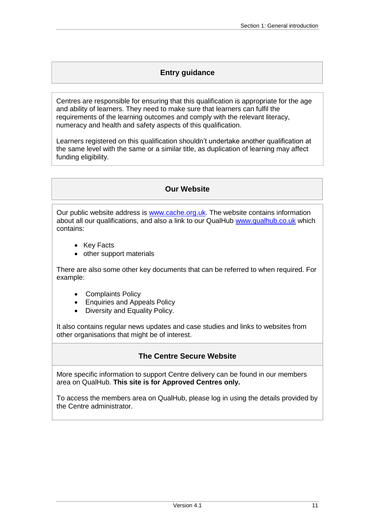### **Entry guidance**

<span id="page-10-0"></span>Centres are responsible for ensuring that this qualification is appropriate for the age and ability of learners. They need to make sure that learners can fulfil the requirements of the learning outcomes and comply with the relevant literacy, numeracy and health and safety aspects of this qualification.

Learners registered on this qualification shouldn't undertake another qualification at the same level with the same or a similar title, as duplication of learning may affect funding eligibility.

### **Our Website**

<span id="page-10-1"></span>Our public website address is [www.cache.org.uk.](https://www.cache.org.uk/) The website contains information about all our qualifications, and also a link to our QualHub [www.qualhub.co.uk](http://www.qualhub.co.uk/) which contains:

- Key Facts
- other support materials

There are also some other key documents that can be referred to when required. For example:

- Complaints Policy
- Enquiries and Appeals Policy
- Diversity and Equality Policy.

It also contains regular news updates and case studies and links to websites from other organisations that might be of interest.

### **The Centre Secure Website**

<span id="page-10-2"></span>More specific information to support Centre delivery can be found in our members area on QualHub. **This site is for Approved Centres only.**

To access the members area on QualHub, please log in using the details provided by the Centre administrator.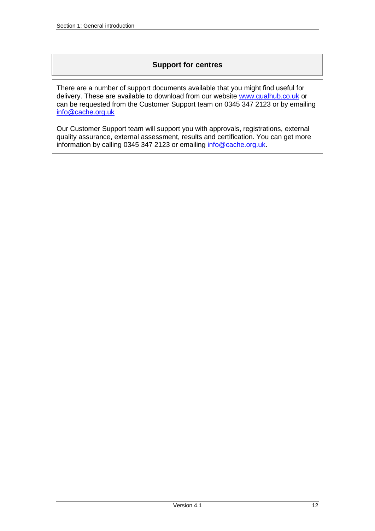### **Support for centres**

<span id="page-11-0"></span>There are a number of support documents available that you might find useful for delivery. These are available to download from our website [www.qualhub.co.uk](http://www.qualhub.co.uk/) or can be requested from the Customer Support team on 0345 347 2123 or by emailing [info@cache.org.uk](mailto:info@cache.org.uk)

Our Customer Support team will support you with approvals, registrations, external quality assurance, external assessment, results and certification. You can get more information by calling 0345 347 2123 or emailing [info@cache.org.uk.](mailto:info@cache.org.uk)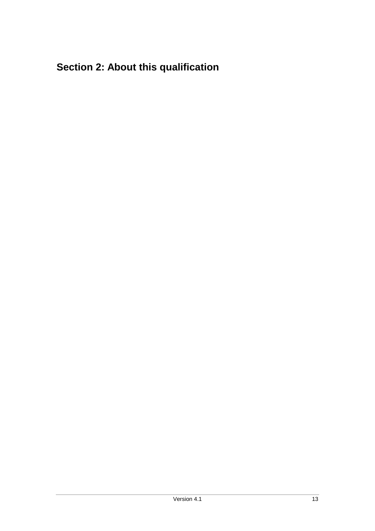# <span id="page-12-0"></span>**Section 2: About this qualification**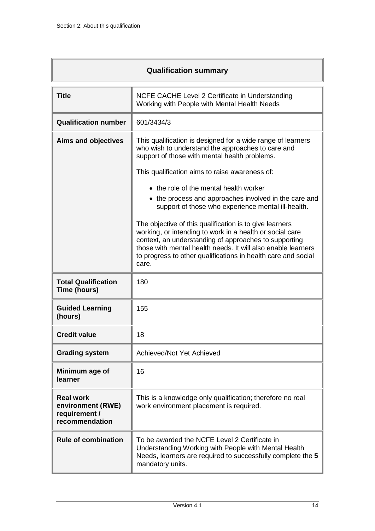ľ

<span id="page-13-0"></span>

| <b>Qualification summary</b>                                             |                                                                                                                                                                                                                                                                                                                        |  |  |
|--------------------------------------------------------------------------|------------------------------------------------------------------------------------------------------------------------------------------------------------------------------------------------------------------------------------------------------------------------------------------------------------------------|--|--|
| <b>Title</b>                                                             | NCFE CACHE Level 2 Certificate in Understanding<br>Working with People with Mental Health Needs                                                                                                                                                                                                                        |  |  |
| <b>Qualification number</b>                                              | 601/3434/3                                                                                                                                                                                                                                                                                                             |  |  |
| <b>Aims and objectives</b>                                               | This qualification is designed for a wide range of learners<br>who wish to understand the approaches to care and<br>support of those with mental health problems.                                                                                                                                                      |  |  |
|                                                                          | This qualification aims to raise awareness of:                                                                                                                                                                                                                                                                         |  |  |
|                                                                          | • the role of the mental health worker                                                                                                                                                                                                                                                                                 |  |  |
|                                                                          | • the process and approaches involved in the care and<br>support of those who experience mental ill-health.                                                                                                                                                                                                            |  |  |
|                                                                          | The objective of this qualification is to give learners<br>working, or intending to work in a health or social care<br>context, an understanding of approaches to supporting<br>those with mental health needs. It will also enable learners<br>to progress to other qualifications in health care and social<br>care. |  |  |
| <b>Total Qualification</b><br>Time (hours)                               | 180                                                                                                                                                                                                                                                                                                                    |  |  |
| <b>Guided Learning</b><br>(hours)                                        | 155                                                                                                                                                                                                                                                                                                                    |  |  |
| <b>Credit value</b>                                                      | 18                                                                                                                                                                                                                                                                                                                     |  |  |
| <b>Grading system</b>                                                    | Achieved/Not Yet Achieved                                                                                                                                                                                                                                                                                              |  |  |
| Minimum age of<br>learner                                                | 16                                                                                                                                                                                                                                                                                                                     |  |  |
| <b>Real work</b><br>environment (RWE)<br>requirement /<br>recommendation | This is a knowledge only qualification; therefore no real<br>work environment placement is required.                                                                                                                                                                                                                   |  |  |
| <b>Rule of combination</b>                                               | To be awarded the NCFE Level 2 Certificate in<br>Understanding Working with People with Mental Health<br>Needs, learners are required to successfully complete the 5<br>mandatory units.                                                                                                                               |  |  |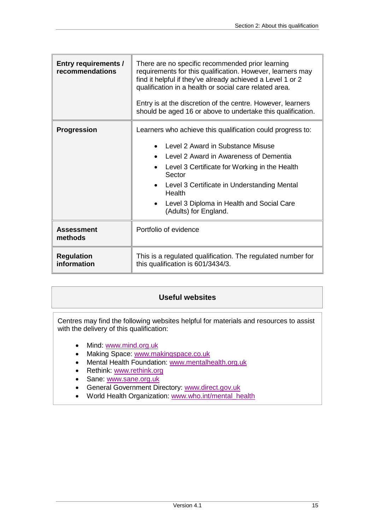| <b>Entry requirements /</b><br>recommendations | There are no specific recommended prior learning<br>requirements for this qualification. However, learners may<br>find it helpful if they've already achieved a Level 1 or 2<br>qualification in a health or social care related area.<br>Entry is at the discretion of the centre. However, learners<br>should be aged 16 or above to undertake this qualification. |  |  |  |  |
|------------------------------------------------|----------------------------------------------------------------------------------------------------------------------------------------------------------------------------------------------------------------------------------------------------------------------------------------------------------------------------------------------------------------------|--|--|--|--|
| <b>Progression</b>                             | Learners who achieve this qualification could progress to:                                                                                                                                                                                                                                                                                                           |  |  |  |  |
|                                                | Level 2 Award in Substance Misuse                                                                                                                                                                                                                                                                                                                                    |  |  |  |  |
|                                                | Level 2 Award in Awareness of Dementia                                                                                                                                                                                                                                                                                                                               |  |  |  |  |
|                                                | Level 3 Certificate for Working in the Health<br>Sector                                                                                                                                                                                                                                                                                                              |  |  |  |  |
|                                                | • Level 3 Certificate in Understanding Mental<br>Health                                                                                                                                                                                                                                                                                                              |  |  |  |  |
|                                                | Level 3 Diploma in Health and Social Care<br>(Adults) for England.                                                                                                                                                                                                                                                                                                   |  |  |  |  |
| <b>Assessment</b><br>methods                   | Portfolio of evidence                                                                                                                                                                                                                                                                                                                                                |  |  |  |  |
| <b>Regulation</b><br>information               | This is a regulated qualification. The regulated number for<br>this qualification is 601/3434/3.                                                                                                                                                                                                                                                                     |  |  |  |  |

### **Useful websites**

<span id="page-14-0"></span>Centres may find the following websites helpful for materials and resources to assist with the delivery of this qualification:

- Mind: [www.mind.org.uk](http://www.mind.org.uk/)
- Making Space: [www.makingspace.co.uk](http://www.makingspace.co.uk/)
- Mental Health Foundation: [www.mentalhealth.org.uk](http://www.mentalhealth.org.uk/)
- Rethink: [www.rethink.org](http://www.rethink.org/)
- Sane: [www.sane.org.uk](http://www.sane.org.uk/)
- General Government Directory: [www.direct.gov.uk](http://www.direct.gov.uk/)
- World Health Organization: [www.who.int/mental\\_health](http://www.who.int/mental_health)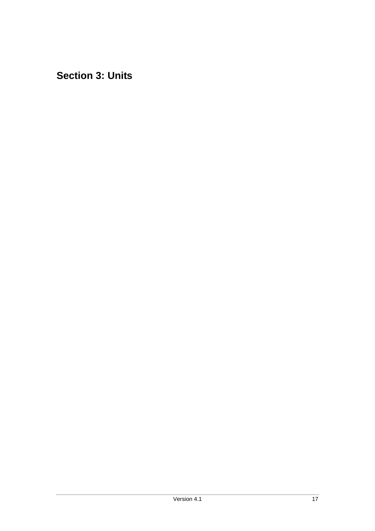<span id="page-16-0"></span>**Section 3: Units**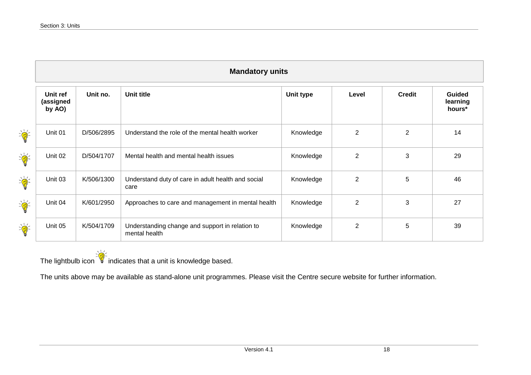|                                    | <b>Mandatory units</b>          |            |                                                                  |           |                |                |                                     |
|------------------------------------|---------------------------------|------------|------------------------------------------------------------------|-----------|----------------|----------------|-------------------------------------|
|                                    | Unit ref<br>(assigned<br>by AO) | Unit no.   | Unit title                                                       | Unit type | Level          | <b>Credit</b>  | <b>Guided</b><br>learning<br>hours* |
| $\frac{1}{\sqrt{2}}\sum_{n=1}^{n}$ | Unit 01                         | D/506/2895 | Understand the role of the mental health worker                  | Knowledge | $\overline{2}$ | $\overline{2}$ | 14                                  |
| $\frac{1}{\sqrt{2}}\sum_{i=1}^{n}$ | Unit 02                         | D/504/1707 | Mental health and mental health issues                           | Knowledge | $\overline{2}$ | 3              | 29                                  |
| $\frac{1}{\sqrt{2}}\sum_{n=1}^{n}$ | Unit 03                         | K/506/1300 | Understand duty of care in adult health and social<br>care       | Knowledge | $\overline{2}$ | 5              | 46                                  |
| $\frac{1}{\sqrt{2}}\sum_{n=1}^{n}$ | Unit 04                         | K/601/2950 | Approaches to care and management in mental health               | Knowledge | $\overline{2}$ | 3              | 27                                  |
| $\frac{1}{\sqrt{2}}\sum_{i=1}^{n}$ | Unit 05                         | K/504/1709 | Understanding change and support in relation to<br>mental health | Knowledge | $\overline{2}$ | 5              | 39                                  |

<span id="page-17-0"></span>The lightbulb icon  $\frac{1}{2}$  indicates that a unit is knowledge based.

The units above may be available as stand-alone unit programmes. Please visit the Centre secure website for further information.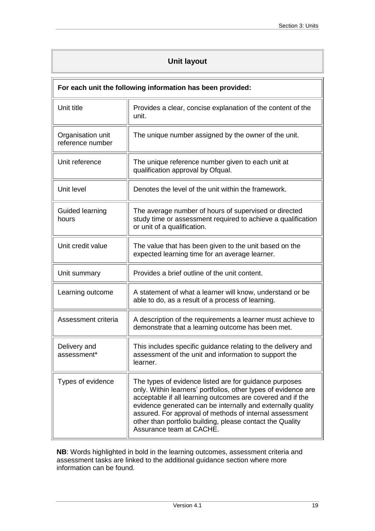### **Unit layout**

<span id="page-18-0"></span>

| For each unit the following information has been provided: |                                                                                                                                                                                                                                                                                                                                                                                                           |  |  |
|------------------------------------------------------------|-----------------------------------------------------------------------------------------------------------------------------------------------------------------------------------------------------------------------------------------------------------------------------------------------------------------------------------------------------------------------------------------------------------|--|--|
| Unit title                                                 | Provides a clear, concise explanation of the content of the<br>unit.                                                                                                                                                                                                                                                                                                                                      |  |  |
| Organisation unit<br>reference number                      | The unique number assigned by the owner of the unit.                                                                                                                                                                                                                                                                                                                                                      |  |  |
| Unit reference                                             | The unique reference number given to each unit at<br>qualification approval by Ofqual.                                                                                                                                                                                                                                                                                                                    |  |  |
| Unit level                                                 | Denotes the level of the unit within the framework.                                                                                                                                                                                                                                                                                                                                                       |  |  |
| Guided learning<br>hours                                   | The average number of hours of supervised or directed<br>study time or assessment required to achieve a qualification<br>or unit of a qualification.                                                                                                                                                                                                                                                      |  |  |
| Unit credit value                                          | The value that has been given to the unit based on the<br>expected learning time for an average learner.                                                                                                                                                                                                                                                                                                  |  |  |
| Unit summary                                               | Provides a brief outline of the unit content.                                                                                                                                                                                                                                                                                                                                                             |  |  |
| Learning outcome                                           | A statement of what a learner will know, understand or be<br>able to do, as a result of a process of learning.                                                                                                                                                                                                                                                                                            |  |  |
| Assessment criteria                                        | A description of the requirements a learner must achieve to<br>demonstrate that a learning outcome has been met.                                                                                                                                                                                                                                                                                          |  |  |
| Delivery and<br>assessment*                                | This includes specific guidance relating to the delivery and<br>assessment of the unit and information to support the<br>learner.                                                                                                                                                                                                                                                                         |  |  |
| Types of evidence                                          | The types of evidence listed are for guidance purposes<br>only. Within learners' portfolios, other types of evidence are<br>acceptable if all learning outcomes are covered and if the<br>evidence generated can be internally and externally quality<br>assured. For approval of methods of internal assessment<br>other than portfolio building, please contact the Quality<br>Assurance team at CACHE. |  |  |

**NB**: Words highlighted in bold in the learning outcomes, assessment criteria and assessment tasks are linked to the additional guidance section where more information can be found.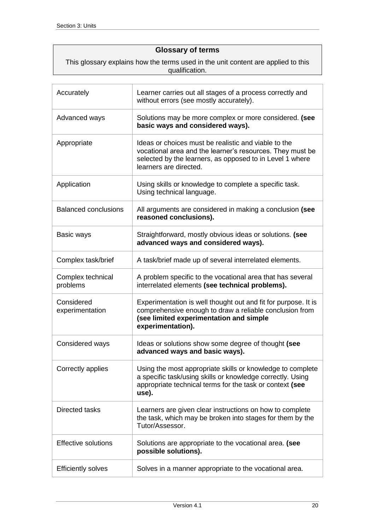### **Glossary of terms**

<span id="page-19-0"></span>This glossary explains how the terms used in the unit content are applied to this qualification.

| Accurately                    | Learner carries out all stages of a process correctly and<br>without errors (see mostly accurately).                                                                                                    |
|-------------------------------|---------------------------------------------------------------------------------------------------------------------------------------------------------------------------------------------------------|
| Advanced ways                 | Solutions may be more complex or more considered. (see<br>basic ways and considered ways).                                                                                                              |
| Appropriate                   | Ideas or choices must be realistic and viable to the<br>vocational area and the learner's resources. They must be<br>selected by the learners, as opposed to in Level 1 where<br>learners are directed. |
| Application                   | Using skills or knowledge to complete a specific task.<br>Using technical language.                                                                                                                     |
| <b>Balanced conclusions</b>   | All arguments are considered in making a conclusion (see<br>reasoned conclusions).                                                                                                                      |
| Basic ways                    | Straightforward, mostly obvious ideas or solutions. (see<br>advanced ways and considered ways).                                                                                                         |
| Complex task/brief            | A task/brief made up of several interrelated elements.                                                                                                                                                  |
| Complex technical<br>problems | A problem specific to the vocational area that has several<br>interrelated elements (see technical problems).                                                                                           |
| Considered<br>experimentation | Experimentation is well thought out and fit for purpose. It is<br>comprehensive enough to draw a reliable conclusion from<br>(see limited experimentation and simple<br>experimentation).               |
| Considered ways               | Ideas or solutions show some degree of thought (see<br>advanced ways and basic ways).                                                                                                                   |
| Correctly applies             | Using the most appropriate skills or knowledge to complete<br>a specific task/using skills or knowledge correctly. Using<br>appropriate technical terms for the task or context (see<br>use).           |
| Directed tasks                | Learners are given clear instructions on how to complete<br>the task, which may be broken into stages for them by the<br>Tutor/Assessor.                                                                |
| <b>Effective solutions</b>    | Solutions are appropriate to the vocational area. (see<br>possible solutions).                                                                                                                          |
| <b>Efficiently solves</b>     | Solves in a manner appropriate to the vocational area.                                                                                                                                                  |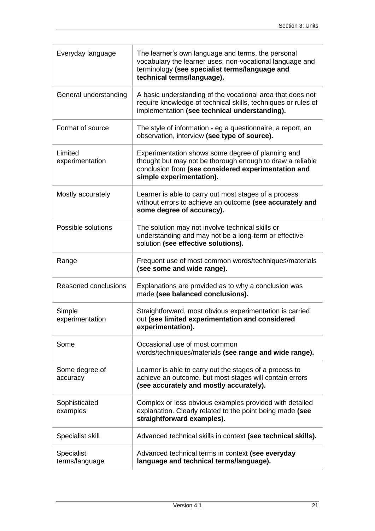| Everyday language            | The learner's own language and terms, the personal<br>vocabulary the learner uses, non-vocational language and<br>terminology (see specialist terms/language and<br>technical terms/language).    |
|------------------------------|---------------------------------------------------------------------------------------------------------------------------------------------------------------------------------------------------|
| General understanding        | A basic understanding of the vocational area that does not<br>require knowledge of technical skills, techniques or rules of<br>implementation (see technical understanding).                      |
| Format of source             | The style of information - eg a questionnaire, a report, an<br>observation, interview (see type of source).                                                                                       |
| Limited<br>experimentation   | Experimentation shows some degree of planning and<br>thought but may not be thorough enough to draw a reliable<br>conclusion from (see considered experimentation and<br>simple experimentation). |
| Mostly accurately            | Learner is able to carry out most stages of a process<br>without errors to achieve an outcome (see accurately and<br>some degree of accuracy).                                                    |
| Possible solutions           | The solution may not involve technical skills or<br>understanding and may not be a long-term or effective<br>solution (see effective solutions).                                                  |
| Range                        | Frequent use of most common words/techniques/materials<br>(see some and wide range).                                                                                                              |
| Reasoned conclusions         | Explanations are provided as to why a conclusion was<br>made (see balanced conclusions).                                                                                                          |
| Simple<br>experimentation    | Straightforward, most obvious experimentation is carried<br>out (see limited experimentation and considered<br>experimentation).                                                                  |
| Some                         | Occasional use of most common<br>words/techniques/materials (see range and wide range).                                                                                                           |
| Some degree of<br>accuracy   | Learner is able to carry out the stages of a process to<br>achieve an outcome, but most stages will contain errors<br>(see accurately and mostly accurately).                                     |
| Sophisticated<br>examples    | Complex or less obvious examples provided with detailed<br>explanation. Clearly related to the point being made (see<br>straightforward examples).                                                |
| Specialist skill             | Advanced technical skills in context (see technical skills).                                                                                                                                      |
| Specialist<br>terms/language | Advanced technical terms in context (see everyday<br>language and technical terms/language).                                                                                                      |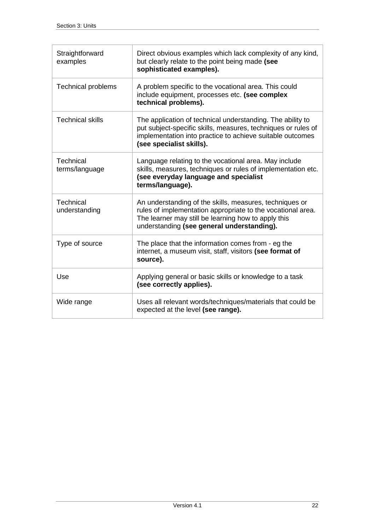| Straightforward<br>examples       | Direct obvious examples which lack complexity of any kind,<br>but clearly relate to the point being made (see<br>sophisticated examples).                                                                                   |
|-----------------------------------|-----------------------------------------------------------------------------------------------------------------------------------------------------------------------------------------------------------------------------|
| <b>Technical problems</b>         | A problem specific to the vocational area. This could<br>include equipment, processes etc. (see complex<br>technical problems).                                                                                             |
| <b>Technical skills</b>           | The application of technical understanding. The ability to<br>put subject-specific skills, measures, techniques or rules of<br>implementation into practice to achieve suitable outcomes<br>(see specialist skills).        |
| Technical<br>terms/language       | Language relating to the vocational area. May include<br>skills, measures, techniques or rules of implementation etc.<br>(see everyday language and specialist<br>terms/language).                                          |
| <b>Technical</b><br>understanding | An understanding of the skills, measures, techniques or<br>rules of implementation appropriate to the vocational area.<br>The learner may still be learning how to apply this<br>understanding (see general understanding). |
| Type of source                    | The place that the information comes from - eg the<br>internet, a museum visit, staff, visitors (see format of<br>source).                                                                                                  |
| Use                               | Applying general or basic skills or knowledge to a task<br>(see correctly applies).                                                                                                                                         |
| Wide range                        | Uses all relevant words/techniques/materials that could be<br>expected at the level (see range).                                                                                                                            |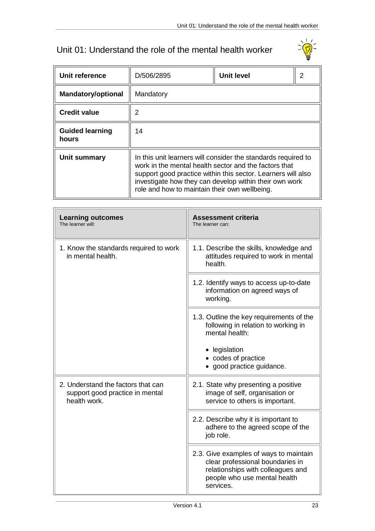# <span id="page-22-0"></span>Unit 01: Understand the role of the mental health worker



| Unit reference                  | D/506/2895                                                                                                                                                                                                                                                                                        | <b>Unit level</b> | 2 |  |  |
|---------------------------------|---------------------------------------------------------------------------------------------------------------------------------------------------------------------------------------------------------------------------------------------------------------------------------------------------|-------------------|---|--|--|
| <b>Mandatory/optional</b>       | Mandatory                                                                                                                                                                                                                                                                                         |                   |   |  |  |
| <b>Credit value</b>             | 2                                                                                                                                                                                                                                                                                                 |                   |   |  |  |
| <b>Guided learning</b><br>hours | 14                                                                                                                                                                                                                                                                                                |                   |   |  |  |
| Unit summary                    | In this unit learners will consider the standards required to<br>work in the mental health sector and the factors that<br>support good practice within this sector. Learners will also<br>investigate how they can develop within their own work<br>role and how to maintain their own wellbeing. |                   |   |  |  |

| <b>Learning outcomes</b><br>The learner will:                                         | <b>Assessment criteria</b><br>The learner can:                                                                                                               |
|---------------------------------------------------------------------------------------|--------------------------------------------------------------------------------------------------------------------------------------------------------------|
| 1. Know the standards required to work<br>in mental health.                           | 1.1. Describe the skills, knowledge and<br>attitudes required to work in mental<br>health.                                                                   |
|                                                                                       | 1.2. Identify ways to access up-to-date<br>information on agreed ways of<br>working.                                                                         |
|                                                                                       | 1.3. Outline the key requirements of the<br>following in relation to working in<br>mental health:                                                            |
|                                                                                       | • legislation<br>• codes of practice<br>• good practice guidance.                                                                                            |
| 2. Understand the factors that can<br>support good practice in mental<br>health work. | 2.1. State why presenting a positive<br>image of self, organisation or<br>service to others is important.                                                    |
|                                                                                       | 2.2. Describe why it is important to<br>adhere to the agreed scope of the<br>job role.                                                                       |
|                                                                                       | 2.3. Give examples of ways to maintain<br>clear professional boundaries in<br>relationships with colleagues and<br>people who use mental health<br>services. |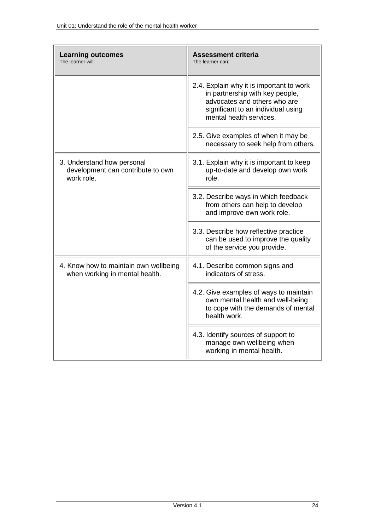| <b>Learning outcomes</b><br>The learner will:                                 | <b>Assessment criteria</b><br>The learner can:                                                                                                                               |
|-------------------------------------------------------------------------------|------------------------------------------------------------------------------------------------------------------------------------------------------------------------------|
|                                                                               | 2.4. Explain why it is important to work<br>in partnership with key people,<br>advocates and others who are<br>significant to an individual using<br>mental health services. |
|                                                                               | 2.5. Give examples of when it may be<br>necessary to seek help from others.                                                                                                  |
| 3. Understand how personal<br>development can contribute to own<br>work role. | 3.1. Explain why it is important to keep<br>up-to-date and develop own work<br>role.                                                                                         |
|                                                                               | 3.2. Describe ways in which feedback<br>from others can help to develop<br>and improve own work role.                                                                        |
|                                                                               | 3.3. Describe how reflective practice<br>can be used to improve the quality<br>of the service you provide.                                                                   |
| 4. Know how to maintain own wellbeing<br>when working in mental health.       | 4.1. Describe common signs and<br>indicators of stress.                                                                                                                      |
|                                                                               | 4.2. Give examples of ways to maintain<br>own mental health and well-being<br>to cope with the demands of mental<br>health work.                                             |
|                                                                               | 4.3. Identify sources of support to<br>manage own wellbeing when<br>working in mental health.                                                                                |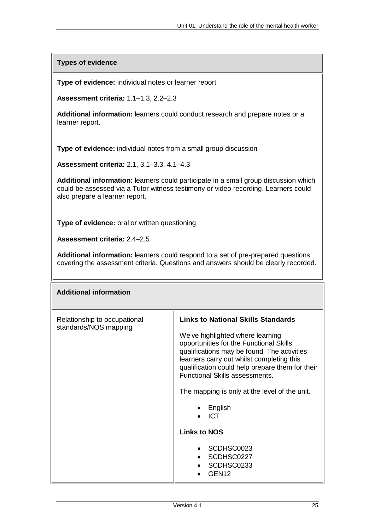**Types of evidence**

**Type of evidence:** individual notes or learner report

**Assessment criteria:** 1.1–1.3, 2.2–2.3

**Additional information:** learners could conduct research and prepare notes or a learner report.

**Type of evidence:** individual notes from a small group discussion

**Assessment criteria:** 2.1, 3.1–3.3, 4.1–4.3

**Additional information:** learners could participate in a small group discussion which could be assessed via a Tutor witness testimony or video recording. Learners could also prepare a learner report.

**Type of evidence:** oral or written questioning

**Assessment criteria:** 2.4–2.5

**Additional information:** learners could respond to a set of pre-prepared questions covering the assessment criteria. Questions and answers should be clearly recorded.

| <b>Additional information</b>                         |                                                                                                                                                                                                                                                                                                                                                                                                                                                                                            |
|-------------------------------------------------------|--------------------------------------------------------------------------------------------------------------------------------------------------------------------------------------------------------------------------------------------------------------------------------------------------------------------------------------------------------------------------------------------------------------------------------------------------------------------------------------------|
| Relationship to occupational<br>standards/NOS mapping | <b>Links to National Skills Standards</b><br>We've highlighted where learning<br>opportunities for the Functional Skills<br>qualifications may be found. The activities<br>learners carry out whilst completing this<br>qualification could help prepare them for their<br><b>Functional Skills assessments.</b><br>The mapping is only at the level of the unit.<br>$\bullet$ English<br><b>ICT</b><br><b>Links to NOS</b><br>SCDHSC0023<br>SCDHSC0227<br>SCDHSC0233<br>GEN <sub>12</sub> |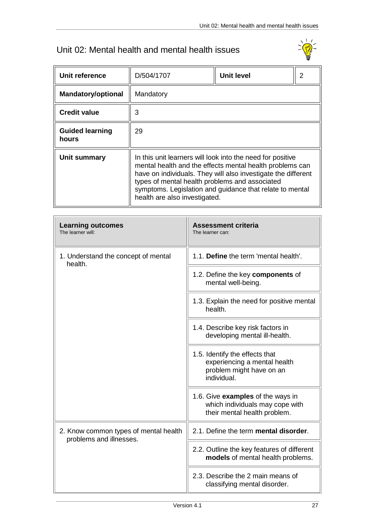# <span id="page-26-0"></span>Unit 02: Mental health and mental health issues



| Unit reference                  | D/504/1707                                                                                                                                                                                                                                                                                                                             | <b>Unit level</b><br>2 |
|---------------------------------|----------------------------------------------------------------------------------------------------------------------------------------------------------------------------------------------------------------------------------------------------------------------------------------------------------------------------------------|------------------------|
| <b>Mandatory/optional</b>       | Mandatory                                                                                                                                                                                                                                                                                                                              |                        |
| <b>Credit value</b>             | 3                                                                                                                                                                                                                                                                                                                                      |                        |
| <b>Guided learning</b><br>hours | 29                                                                                                                                                                                                                                                                                                                                     |                        |
| Unit summary                    | In this unit learners will look into the need for positive<br>mental health and the effects mental health problems can<br>have on individuals. They will also investigate the different<br>types of mental health problems and associated<br>symptoms. Legislation and guidance that relate to mental<br>health are also investigated. |                        |

| <b>Learning outcomes</b><br>The learner will:                    | <b>Assessment criteria</b><br>The learner can:                                                              |
|------------------------------------------------------------------|-------------------------------------------------------------------------------------------------------------|
| 1. Understand the concept of mental<br>health.                   | 1.1. Define the term 'mental health'.                                                                       |
|                                                                  | 1.2. Define the key components of<br>mental well-being.                                                     |
|                                                                  | 1.3. Explain the need for positive mental<br>health.                                                        |
|                                                                  | 1.4. Describe key risk factors in<br>developing mental ill-health.                                          |
|                                                                  | 1.5. Identify the effects that<br>experiencing a mental health<br>problem might have on an<br>individual.   |
|                                                                  | 1.6. Give <b>examples</b> of the ways in<br>which individuals may cope with<br>their mental health problem. |
| 2. Know common types of mental health<br>problems and illnesses. | 2.1. Define the term mental disorder.                                                                       |
|                                                                  | 2.2. Outline the key features of different<br>models of mental health problems.                             |
|                                                                  | 2.3. Describe the 2 main means of<br>classifying mental disorder.                                           |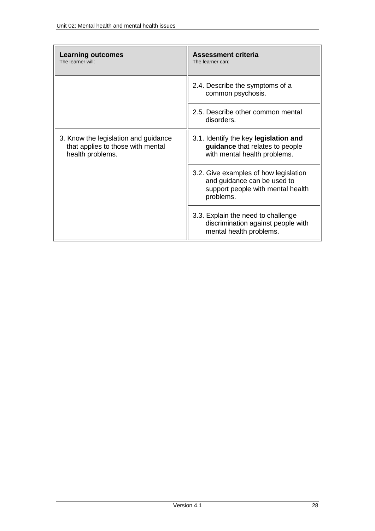| <b>Learning outcomes</b><br>The learner will:                                                 | <b>Assessment criteria</b><br>The learner can:                                                                         |
|-----------------------------------------------------------------------------------------------|------------------------------------------------------------------------------------------------------------------------|
|                                                                                               | 2.4. Describe the symptoms of a<br>common psychosis.                                                                   |
|                                                                                               | 2.5. Describe other common mental<br>disorders.                                                                        |
| 3. Know the legislation and guidance<br>that applies to those with mental<br>health problems. | 3.1. Identify the key legislation and<br>guidance that relates to people<br>with mental health problems.               |
|                                                                                               | 3.2. Give examples of how legislation<br>and guidance can be used to<br>support people with mental health<br>problems. |
|                                                                                               | 3.3. Explain the need to challenge<br>discrimination against people with<br>mental health problems.                    |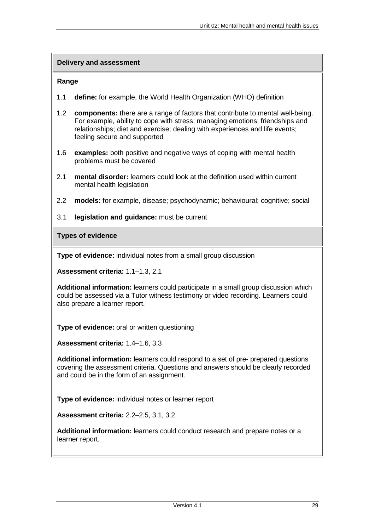#### **Delivery and assessment**

#### **Range**

- 1.1 **define:** for example, the World Health Organization (WHO) definition
- 1.2 **components:** there are a range of factors that contribute to mental well-being. For example, ability to cope with stress; managing emotions; friendships and relationships; diet and exercise; dealing with experiences and life events; feeling secure and supported
- 1.6 **examples:** both positive and negative ways of coping with mental health problems must be covered
- 2.1 **mental disorder:** learners could look at the definition used within current mental health legislation
- 2.2 **models:** for example, disease; psychodynamic; behavioural; cognitive; social
- 3.1 **legislation and guidance:** must be current

**Types of evidence**

**Type of evidence:** individual notes from a small group discussion

**Assessment criteria:** 1.1–1.3, 2.1

**Additional information:** learners could participate in a small group discussion which could be assessed via a Tutor witness testimony or video recording. Learners could also prepare a learner report.

**Type of evidence:** oral or written questioning

**Assessment criteria:** 1.4–1.6, 3.3

**Additional information:** learners could respond to a set of pre- prepared questions covering the assessment criteria. Questions and answers should be clearly recorded and could be in the form of an assignment.

**Type of evidence:** individual notes or learner report

**Assessment criteria:** 2.2–2.5, 3.1, 3.2

**Additional information:** learners could conduct research and prepare notes or a learner report.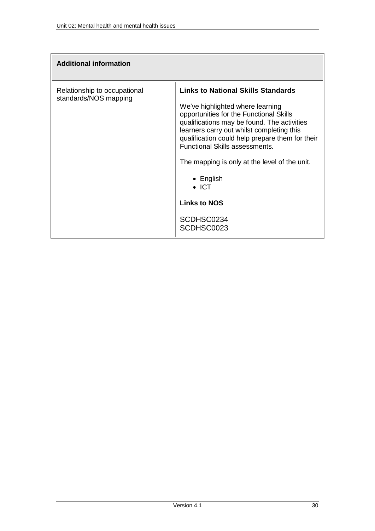| <b>Additional information</b>                         |                                                                                                                                                                                                                                                                                                                                                                                                                                                            |
|-------------------------------------------------------|------------------------------------------------------------------------------------------------------------------------------------------------------------------------------------------------------------------------------------------------------------------------------------------------------------------------------------------------------------------------------------------------------------------------------------------------------------|
| Relationship to occupational<br>standards/NOS mapping | <b>Links to National Skills Standards</b><br>We've highlighted where learning<br>opportunities for the Functional Skills<br>qualifications may be found. The activities<br>learners carry out whilst completing this<br>qualification could help prepare them for their<br><b>Functional Skills assessments.</b><br>The mapping is only at the level of the unit.<br>$\bullet$ English<br>$\bullet$ ICT<br><b>Links to NOS</b><br>SCDHSC0234<br>SCDHSC0023 |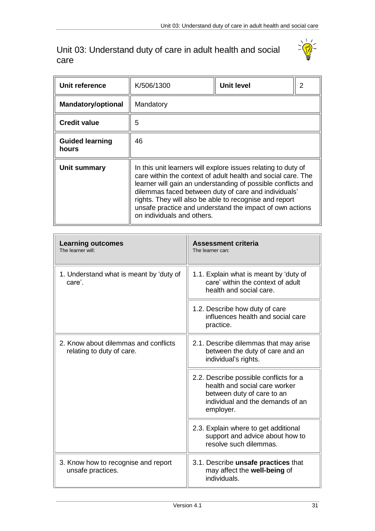### <span id="page-30-0"></span>Unit 03: Understand duty of care in adult health and social care

 $\overline{r}$ 



| Unit reference                  | K/506/1300                                                                                                                                                                                                                                                                                                                                                                                                | Unit level | 2 |
|---------------------------------|-----------------------------------------------------------------------------------------------------------------------------------------------------------------------------------------------------------------------------------------------------------------------------------------------------------------------------------------------------------------------------------------------------------|------------|---|
| <b>Mandatory/optional</b>       | Mandatory                                                                                                                                                                                                                                                                                                                                                                                                 |            |   |
| <b>Credit value</b>             | 5                                                                                                                                                                                                                                                                                                                                                                                                         |            |   |
| <b>Guided learning</b><br>hours | 46                                                                                                                                                                                                                                                                                                                                                                                                        |            |   |
| Unit summary                    | In this unit learners will explore issues relating to duty of<br>care within the context of adult health and social care. The<br>learner will gain an understanding of possible conflicts and<br>dilemmas faced between duty of care and individuals'<br>rights. They will also be able to recognise and report<br>unsafe practice and understand the impact of own actions<br>on individuals and others. |            |   |

| <b>Learning outcomes</b><br>The learner will:                     | <b>Assessment criteria</b><br>The learner can:                                                                                                         |
|-------------------------------------------------------------------|--------------------------------------------------------------------------------------------------------------------------------------------------------|
| 1. Understand what is meant by 'duty of<br>care'.                 | 1.1. Explain what is meant by 'duty of<br>care' within the context of adult<br>health and social care.                                                 |
|                                                                   | 1.2. Describe how duty of care<br>influences health and social care<br>practice.                                                                       |
| 2. Know about dilemmas and conflicts<br>relating to duty of care. | 2.1. Describe dilemmas that may arise<br>between the duty of care and an<br>individual's rights.                                                       |
|                                                                   | 2.2. Describe possible conflicts for a<br>health and social care worker<br>between duty of care to an<br>individual and the demands of an<br>employer. |
|                                                                   | 2.3. Explain where to get additional<br>support and advice about how to<br>resolve such dilemmas.                                                      |
| 3. Know how to recognise and report<br>unsafe practices.          | 3.1. Describe unsafe practices that<br>may affect the well-being of<br>individuals.                                                                    |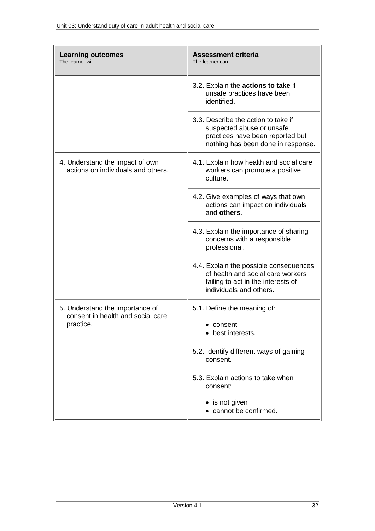| <b>Learning outcomes</b><br>The learner will:                                     | <b>Assessment criteria</b><br>The learner can:                                                                                               |  |
|-----------------------------------------------------------------------------------|----------------------------------------------------------------------------------------------------------------------------------------------|--|
|                                                                                   | 3.2. Explain the actions to take if<br>unsafe practices have been<br>identified.                                                             |  |
|                                                                                   | 3.3. Describe the action to take if<br>suspected abuse or unsafe<br>practices have been reported but<br>nothing has been done in response.   |  |
| 4. Understand the impact of own<br>actions on individuals and others.             | 4.1. Explain how health and social care<br>workers can promote a positive<br>culture.                                                        |  |
|                                                                                   | 4.2. Give examples of ways that own<br>actions can impact on individuals<br>and others.                                                      |  |
|                                                                                   | 4.3. Explain the importance of sharing<br>concerns with a responsible<br>professional.                                                       |  |
|                                                                                   | 4.4. Explain the possible consequences<br>of health and social care workers<br>failing to act in the interests of<br>individuals and others. |  |
| 5. Understand the importance of<br>consent in health and social care<br>practice. | 5.1. Define the meaning of:<br>• consent<br>• best interests.                                                                                |  |
|                                                                                   | 5.2. Identify different ways of gaining<br>consent.                                                                                          |  |
|                                                                                   | 5.3. Explain actions to take when<br>consent:                                                                                                |  |
|                                                                                   | • is not given<br>• cannot be confirmed.                                                                                                     |  |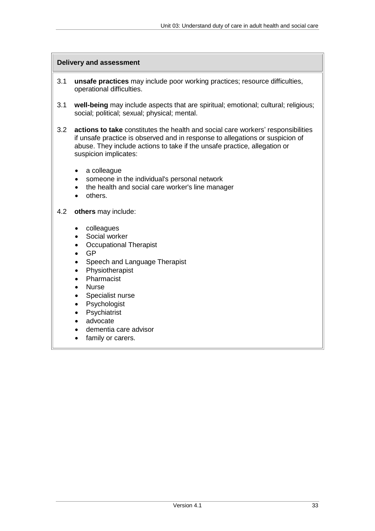#### **Delivery and assessment**

- 3.1 **unsafe practices** may include poor working practices; resource difficulties, operational difficulties.
- 3.1 **well-being** may include aspects that are spiritual; emotional; cultural; religious; social; political; sexual; physical; mental.
- 3.2 **actions to take** constitutes the health and social care workers' responsibilities if unsafe practice is observed and in response to allegations or suspicion of abuse. They include actions to take if the unsafe practice, allegation or suspicion implicates:
	- a colleague
	- someone in the individual's personal network
	- the health and social care worker's line manager
	- others.

#### 4.2 **others** may include:

- colleagues
- Social worker
- Occupational Therapist
- $\bullet$  GP
- Speech and Language Therapist
- Physiotherapist
- Pharmacist
- Nurse
- Specialist nurse
- Psychologist
- Psychiatrist
- advocate
- dementia care advisor
- family or carers.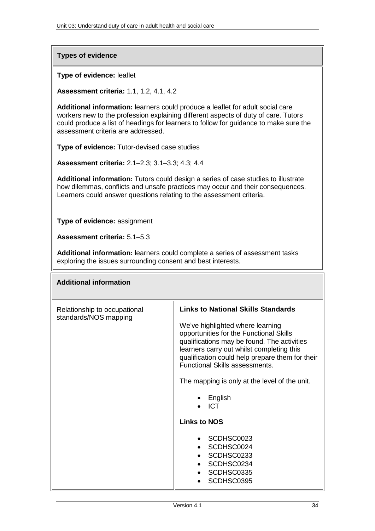**Types of evidence**

**Type of evidence:** leaflet

**Assessment criteria:** 1.1, 1.2, 4.1, 4.2

**Additional information:** learners could produce a leaflet for adult social care workers new to the profession explaining different aspects of duty of care. Tutors could produce a list of headings for learners to follow for guidance to make sure the assessment criteria are addressed.

**Type of evidence:** Tutor-devised case studies

**Assessment criteria:** 2.1–2.3; 3.1–3.3; 4.3; 4.4

**Additional information:** Tutors could design a series of case studies to illustrate how dilemmas, conflicts and unsafe practices may occur and their consequences. Learners could answer questions relating to the assessment criteria.

**Type of evidence:** assignment

**Assessment criteria:** 5.1–5.3

**Additional information:** learners could complete a series of assessment tasks exploring the issues surrounding consent and best interests.

| <b>Additional information</b>                         |                                                                                                                                                                                                                                                                                                                                                                                                                                                                           |
|-------------------------------------------------------|---------------------------------------------------------------------------------------------------------------------------------------------------------------------------------------------------------------------------------------------------------------------------------------------------------------------------------------------------------------------------------------------------------------------------------------------------------------------------|
| Relationship to occupational<br>standards/NOS mapping | <b>Links to National Skills Standards</b><br>We've highlighted where learning<br>opportunities for the Functional Skills<br>qualifications may be found. The activities<br>learners carry out whilst completing this<br>qualification could help prepare them for their<br><b>Functional Skills assessments.</b><br>The mapping is only at the level of the unit.<br>$\bullet$ English<br><b>ICT</b><br><b>Links to NOS</b><br>• SCDHSC0023<br>SCDHSC0024<br>• SCDHSC0233 |
|                                                       | • SCDHSC0234<br>SCDHSC0335<br>SCDHSC0395                                                                                                                                                                                                                                                                                                                                                                                                                                  |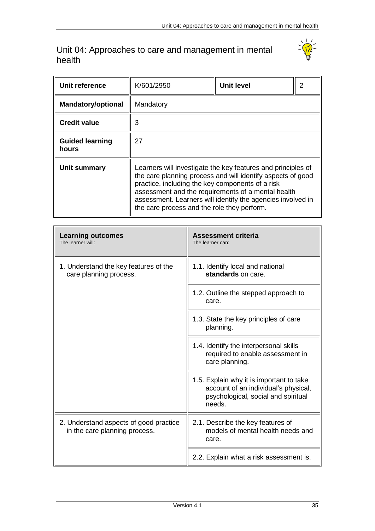### <span id="page-34-0"></span>Unit 04: Approaches to care and management in mental health

 $\overline{r}$ 



| Unit reference                  | K/601/2950                                                                                                                                                                                                                                                                                                                                          | <b>Unit level</b> | 2 |
|---------------------------------|-----------------------------------------------------------------------------------------------------------------------------------------------------------------------------------------------------------------------------------------------------------------------------------------------------------------------------------------------------|-------------------|---|
| <b>Mandatory/optional</b>       | Mandatory                                                                                                                                                                                                                                                                                                                                           |                   |   |
| <b>Credit value</b>             | 3                                                                                                                                                                                                                                                                                                                                                   |                   |   |
| <b>Guided learning</b><br>hours | 27                                                                                                                                                                                                                                                                                                                                                  |                   |   |
| Unit summary                    | Learners will investigate the key features and principles of<br>the care planning process and will identify aspects of good<br>practice, including the key components of a risk<br>assessment and the requirements of a mental health<br>assessment. Learners will identify the agencies involved in<br>the care process and the role they perform. |                   |   |

| <b>Learning outcomes</b><br>The learner will:                           | <b>Assessment criteria</b><br>The learner can:                                                                                    |
|-------------------------------------------------------------------------|-----------------------------------------------------------------------------------------------------------------------------------|
| 1. Understand the key features of the<br>care planning process.         | 1.1. Identify local and national<br>standards on care.                                                                            |
|                                                                         | 1.2. Outline the stepped approach to<br>care.                                                                                     |
|                                                                         | 1.3. State the key principles of care<br>planning.                                                                                |
|                                                                         | 1.4. Identify the interpersonal skills<br>required to enable assessment in<br>care planning.                                      |
|                                                                         | 1.5. Explain why it is important to take<br>account of an individual's physical,<br>psychological, social and spiritual<br>needs. |
| 2. Understand aspects of good practice<br>in the care planning process. | 2.1. Describe the key features of<br>models of mental health needs and<br>care.                                                   |
|                                                                         | 2.2. Explain what a risk assessment is.                                                                                           |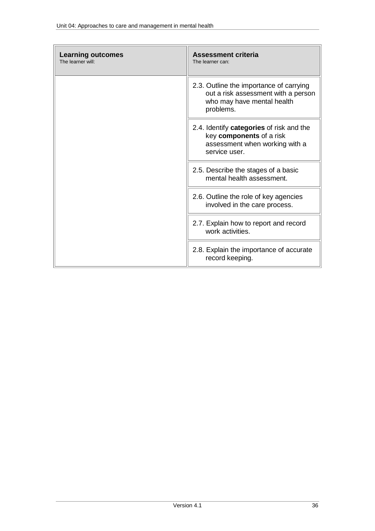| <b>Learning outcomes</b><br>The learner will: | <b>Assessment criteria</b><br>The learner can:                                                                            |
|-----------------------------------------------|---------------------------------------------------------------------------------------------------------------------------|
|                                               | 2.3. Outline the importance of carrying<br>out a risk assessment with a person<br>who may have mental health<br>problems. |
|                                               | 2.4. Identify categories of risk and the<br>key components of a risk<br>assessment when working with a<br>service user.   |
|                                               | 2.5. Describe the stages of a basic<br>mental health assessment.                                                          |
|                                               | 2.6. Outline the role of key agencies<br>involved in the care process.                                                    |
|                                               | 2.7. Explain how to report and record<br>work activities.                                                                 |
|                                               | 2.8. Explain the importance of accurate<br>record keeping.                                                                |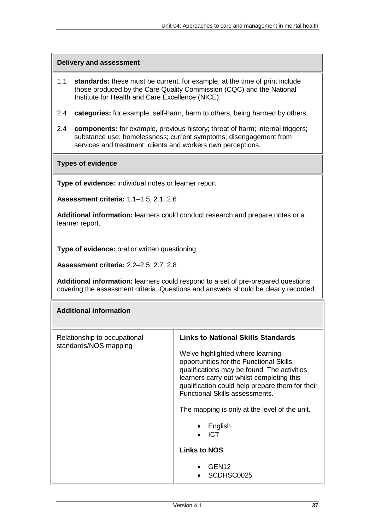#### **Delivery and assessment**

- 1.1 **standards:** these must be current, for example, at the time of print include those produced by the Care Quality Commission (CQC) and the National Institute for Health and Care Excellence (NICE).
- 2.4 **categories:** for example, self-harm, harm to others, being harmed by others.
- 2.4 **components:** for example, previous history; threat of harm; internal triggers; substance use; homelessness; current symptoms; disengagement from services and treatment; clients and workers own perceptions.

#### **Types of evidence**

**Type of evidence:** individual notes or learner report

**Assessment criteria:** 1.1–1.5, 2.1, 2.6

**Additional information:** learners could conduct research and prepare notes or a learner report.

**Type of evidence:** oral or written questioning

**Assessment criteria:** 2.2–2.5; 2.7; 2.8

**Additional information:** learners could respond to a set of pre-prepared questions covering the assessment criteria. Questions and answers should be clearly recorded.

| <b>Additional information</b>                         |                                                                                                                                                                                                                                                                                                                                                                                                                                                      |
|-------------------------------------------------------|------------------------------------------------------------------------------------------------------------------------------------------------------------------------------------------------------------------------------------------------------------------------------------------------------------------------------------------------------------------------------------------------------------------------------------------------------|
| Relationship to occupational<br>standards/NOS mapping | <b>Links to National Skills Standards</b><br>We've highlighted where learning<br>opportunities for the Functional Skills<br>qualifications may be found. The activities<br>learners carry out whilst completing this<br>qualification could help prepare them for their<br><b>Functional Skills assessments.</b><br>The mapping is only at the level of the unit.<br>English<br><b>ICT</b><br><b>Links to NOS</b><br>GEN <sub>12</sub><br>SCDHSC0025 |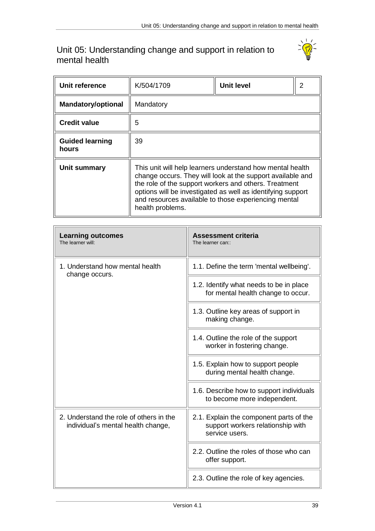### <span id="page-38-0"></span>Unit 05: Understanding change and support in relation to mental health

Г.



| Unit reference                  | K/504/1709                                                                                                                                                                                                                                                                                                                  | <b>Unit level</b> | 2 |
|---------------------------------|-----------------------------------------------------------------------------------------------------------------------------------------------------------------------------------------------------------------------------------------------------------------------------------------------------------------------------|-------------------|---|
| <b>Mandatory/optional</b>       | Mandatory                                                                                                                                                                                                                                                                                                                   |                   |   |
| <b>Credit value</b>             | 5                                                                                                                                                                                                                                                                                                                           |                   |   |
| <b>Guided learning</b><br>hours | 39                                                                                                                                                                                                                                                                                                                          |                   |   |
| <b>Unit summary</b>             | This unit will help learners understand how mental health<br>change occurs. They will look at the support available and<br>the role of the support workers and others. Treatment<br>options will be investigated as well as identifying support<br>and resources available to those experiencing mental<br>health problems. |                   |   |

| <b>Learning outcomes</b><br>The learner will:                                 | <b>Assessment criteria</b><br>The learner can::                                                |
|-------------------------------------------------------------------------------|------------------------------------------------------------------------------------------------|
| 1. Understand how mental health<br>change occurs.                             | 1.1. Define the term 'mental wellbeing'.                                                       |
|                                                                               | 1.2. Identify what needs to be in place<br>for mental health change to occur.                  |
|                                                                               | 1.3. Outline key areas of support in<br>making change.                                         |
|                                                                               | 1.4. Outline the role of the support<br>worker in fostering change.                            |
|                                                                               | 1.5. Explain how to support people<br>during mental health change.                             |
|                                                                               | 1.6. Describe how to support individuals<br>to become more independent.                        |
| 2. Understand the role of others in the<br>individual's mental health change, | 2.1. Explain the component parts of the<br>support workers relationship with<br>service users. |
|                                                                               | 2.2. Outline the roles of those who can<br>offer support.                                      |
|                                                                               | 2.3. Outline the role of key agencies.                                                         |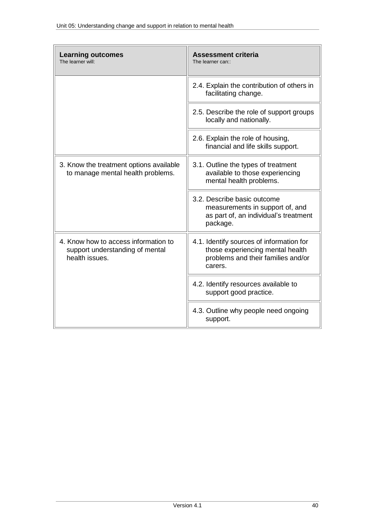| <b>Learning outcomes</b><br>The learner will:                                             | <b>Assessment criteria</b><br>The learner can::                                                                               |
|-------------------------------------------------------------------------------------------|-------------------------------------------------------------------------------------------------------------------------------|
|                                                                                           | 2.4. Explain the contribution of others in<br>facilitating change.                                                            |
|                                                                                           | 2.5. Describe the role of support groups<br>locally and nationally.                                                           |
|                                                                                           | 2.6. Explain the role of housing,<br>financial and life skills support.                                                       |
| 3. Know the treatment options available<br>to manage mental health problems.              | 3.1. Outline the types of treatment<br>available to those experiencing<br>mental health problems.                             |
|                                                                                           | 3.2. Describe basic outcome<br>measurements in support of, and<br>as part of, an individual's treatment<br>package.           |
| 4. Know how to access information to<br>support understanding of mental<br>health issues. | 4.1. Identify sources of information for<br>those experiencing mental health<br>problems and their families and/or<br>carers. |
|                                                                                           | 4.2. Identify resources available to<br>support good practice.                                                                |
|                                                                                           | 4.3. Outline why people need ongoing<br>support.                                                                              |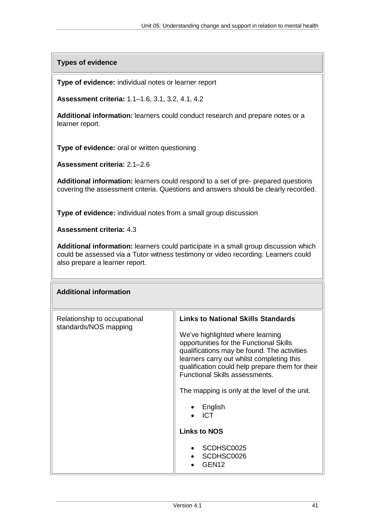**Types of evidence**

**Type of evidence:** individual notes or learner report

**Assessment criteria:** 1.1–1.6, 3.1, 3.2, 4.1, 4.2

**Additional information:** learners could conduct research and prepare notes or a learner report.

**Type of evidence:** oral or written questioning

**Assessment criteria:** 2.1–2.6

**Additional information:** learners could respond to a set of pre- prepared questions covering the assessment criteria. Questions and answers should be clearly recorded.

**Type of evidence:** individual notes from a small group discussion

**Assessment criteria:** 4.3

**Additional information:** learners could participate in a small group discussion which could be assessed via a Tutor witness testimony or video recording. Learners could also prepare a learner report.

| <b>Additional information</b>                         |                                                                                                                                                                                                                                                                                                                                                                                                                                                                    |
|-------------------------------------------------------|--------------------------------------------------------------------------------------------------------------------------------------------------------------------------------------------------------------------------------------------------------------------------------------------------------------------------------------------------------------------------------------------------------------------------------------------------------------------|
| Relationship to occupational<br>standards/NOS mapping | <b>Links to National Skills Standards</b><br>We've highlighted where learning<br>opportunities for the Functional Skills<br>qualifications may be found. The activities<br>learners carry out whilst completing this<br>qualification could help prepare them for their<br><b>Functional Skills assessments.</b><br>The mapping is only at the level of the unit.<br>English<br><b>ICT</b><br><b>Links to NOS</b><br>SCDHSC0025<br>SCDHSC0026<br>GEN <sub>12</sub> |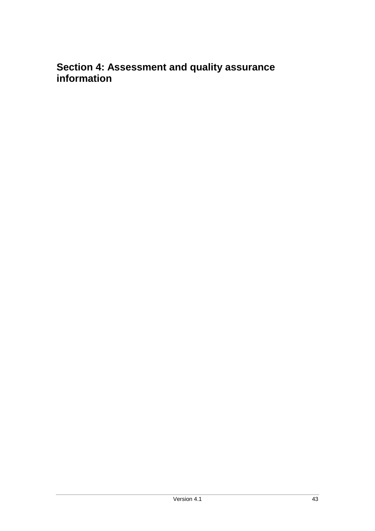# <span id="page-42-0"></span>**Section 4: Assessment and quality assurance information**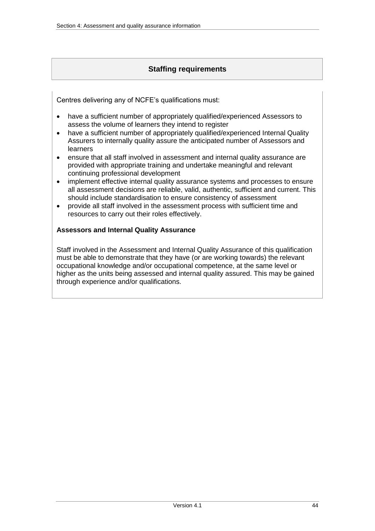### **Staffing requirements**

<span id="page-43-0"></span>Centres delivering any of NCFE's qualifications must:

- have a sufficient number of appropriately qualified/experienced Assessors to assess the volume of learners they intend to register
- have a sufficient number of appropriately qualified/experienced Internal Quality Assurers to internally quality assure the anticipated number of Assessors and learners
- ensure that all staff involved in assessment and internal quality assurance are provided with appropriate training and undertake meaningful and relevant continuing professional development
- implement effective internal quality assurance systems and processes to ensure all assessment decisions are reliable, valid, authentic, sufficient and current. This should include standardisation to ensure consistency of assessment
- provide all staff involved in the assessment process with sufficient time and resources to carry out their roles effectively.

### <span id="page-43-1"></span>**Assessors and Internal Quality Assurance**

Staff involved in the Assessment and Internal Quality Assurance of this qualification must be able to demonstrate that they have (or are working towards) the relevant occupational knowledge and/or occupational competence, at the same level or higher as the units being assessed and internal quality assured. This may be gained through experience and/or qualifications.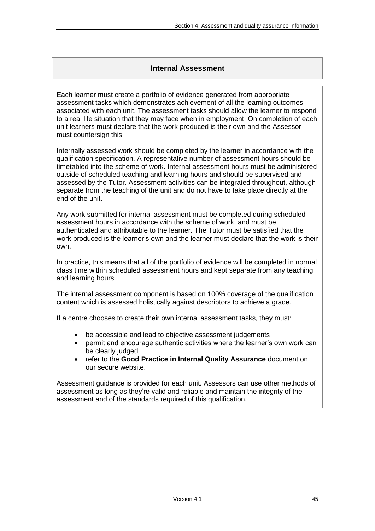### **Internal Assessment**

<span id="page-44-0"></span>Each learner must create a portfolio of evidence generated from appropriate assessment tasks which demonstrates achievement of all the learning outcomes associated with each unit. The assessment tasks should allow the learner to respond to a real life situation that they may face when in employment. On completion of each unit learners must declare that the work produced is their own and the Assessor must countersign this.

Internally assessed work should be completed by the learner in accordance with the qualification specification. A representative number of assessment hours should be timetabled into the scheme of work. Internal assessment hours must be administered outside of scheduled teaching and learning hours and should be supervised and assessed by the Tutor. Assessment activities can be integrated throughout, although separate from the teaching of the unit and do not have to take place directly at the end of the unit.

Any work submitted for internal assessment must be completed during scheduled assessment hours in accordance with the scheme of work, and must be authenticated and attributable to the learner. The Tutor must be satisfied that the work produced is the learner's own and the learner must declare that the work is their own.

In practice, this means that all of the portfolio of evidence will be completed in normal class time within scheduled assessment hours and kept separate from any teaching and learning hours.

The internal assessment component is based on 100% coverage of the qualification content which is assessed holistically against descriptors to achieve a grade.

If a centre chooses to create their own internal assessment tasks, they must:

- be accessible and lead to objective assessment judgements
- permit and encourage authentic activities where the learner's own work can be clearly judged
- refer to the **Good Practice in Internal Quality Assurance** document on our secure website.

Assessment guidance is provided for each unit. Assessors can use other methods of assessment as long as they're valid and reliable and maintain the integrity of the assessment and of the standards required of this qualification.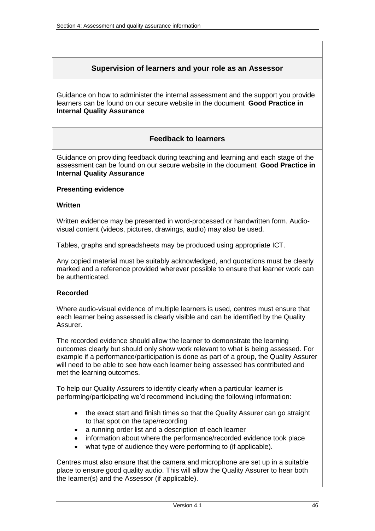### **Supervision of learners and your role as an Assessor**

<span id="page-45-0"></span>Guidance on how to administer the internal assessment and the support you provide learners can be found on our secure website in the document **Good Practice in Internal Quality Assurance**

### **Feedback to learners**

<span id="page-45-1"></span>Guidance on providing feedback during teaching and learning and each stage of the assessment can be found on our secure website in the document **Good Practice in Internal Quality Assurance**

#### <span id="page-45-2"></span>**Presenting evidence**

#### **Written**

Written evidence may be presented in word-processed or handwritten form. Audiovisual content (videos, pictures, drawings, audio) may also be used.

Tables, graphs and spreadsheets may be produced using appropriate ICT.

Any copied material must be suitably acknowledged, and quotations must be clearly marked and a reference provided wherever possible to ensure that learner work can be authenticated.

#### **Recorded**

Where audio-visual evidence of multiple learners is used, centres must ensure that each learner being assessed is clearly visible and can be identified by the Quality Assurer.

The recorded evidence should allow the learner to demonstrate the learning outcomes clearly but should only show work relevant to what is being assessed. For example if a performance/participation is done as part of a group, the Quality Assurer will need to be able to see how each learner being assessed has contributed and met the learning outcomes.

To help our Quality Assurers to identify clearly when a particular learner is performing/participating we'd recommend including the following information:

- the exact start and finish times so that the Quality Assurer can go straight to that spot on the tape/recording
- a running order list and a description of each learner
- information about where the performance/recorded evidence took place
- what type of audience they were performing to (if applicable).

Centres must also ensure that the camera and microphone are set up in a suitable place to ensure good quality audio. This will allow the Quality Assurer to hear both the learner(s) and the Assessor (if applicable).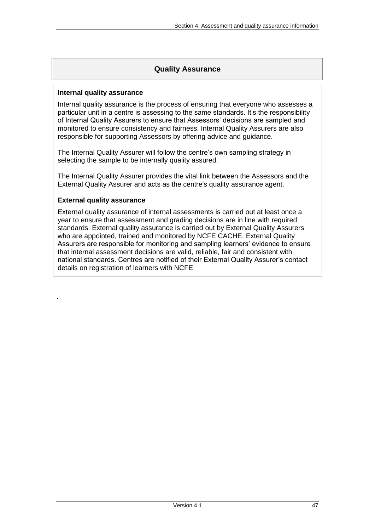### **Quality Assurance**

#### <span id="page-46-1"></span><span id="page-46-0"></span>**Internal quality assurance**

Internal quality assurance is the process of ensuring that everyone who assesses a particular unit in a centre is assessing to the same standards. It's the responsibility of Internal Quality Assurers to ensure that Assessors' decisions are sampled and monitored to ensure consistency and fairness. Internal Quality Assurers are also responsible for supporting Assessors by offering advice and guidance.

The Internal Quality Assurer will follow the centre's own sampling strategy in selecting the sample to be internally quality assured.

The Internal Quality Assurer provides the vital link between the Assessors and the External Quality Assurer and acts as the centre's quality assurance agent.

#### <span id="page-46-2"></span>**External quality assurance**

.

External quality assurance of internal assessments is carried out at least once a year to ensure that assessment and grading decisions are in line with required standards. External quality assurance is carried out by External Quality Assurers who are appointed, trained and monitored by NCFE CACHE. External Quality Assurers are responsible for monitoring and sampling learners' evidence to ensure that internal assessment decisions are valid, reliable, fair and consistent with national standards. Centres are notified of their External Quality Assurer's contact details on registration of learners with NCFE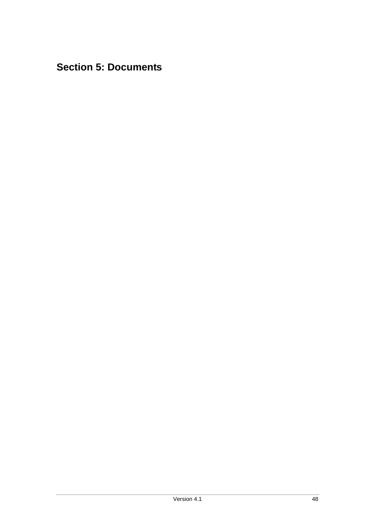# <span id="page-47-0"></span>**Section 5: Documents**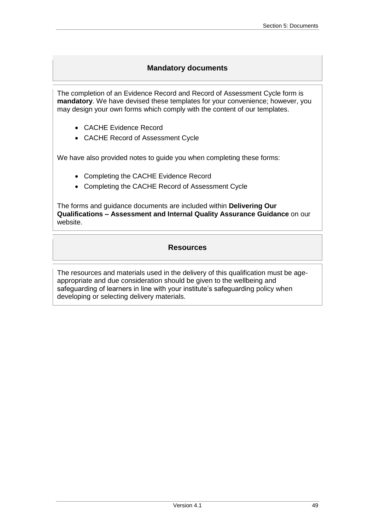### **Mandatory documents**

<span id="page-48-0"></span>The completion of an Evidence Record and Record of Assessment Cycle form is **mandatory**. We have devised these templates for your convenience; however, you may design your own forms which comply with the content of our templates.

- CACHE Evidence Record
- CACHE Record of Assessment Cycle

We have also provided notes to guide you when completing these forms:

- Completing the CACHE Evidence Record
- Completing the CACHE Record of Assessment Cycle

The forms and guidance documents are included within **Delivering Our Qualifications – Assessment and Internal Quality Assurance Guidance** on our website.

### **Resources**

<span id="page-48-1"></span>The resources and materials used in the delivery of this qualification must be ageappropriate and due consideration should be given to the wellbeing and safeguarding of learners in line with your institute's safeguarding policy when developing or selecting delivery materials.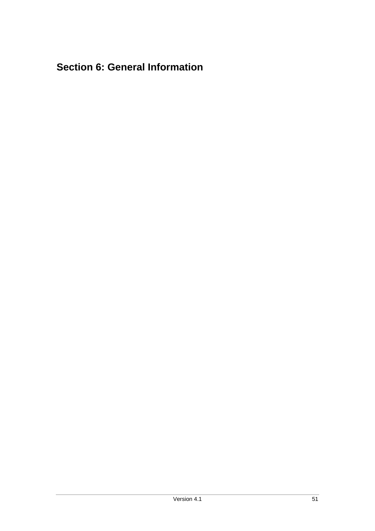# <span id="page-50-0"></span>**Section 6: General Information**